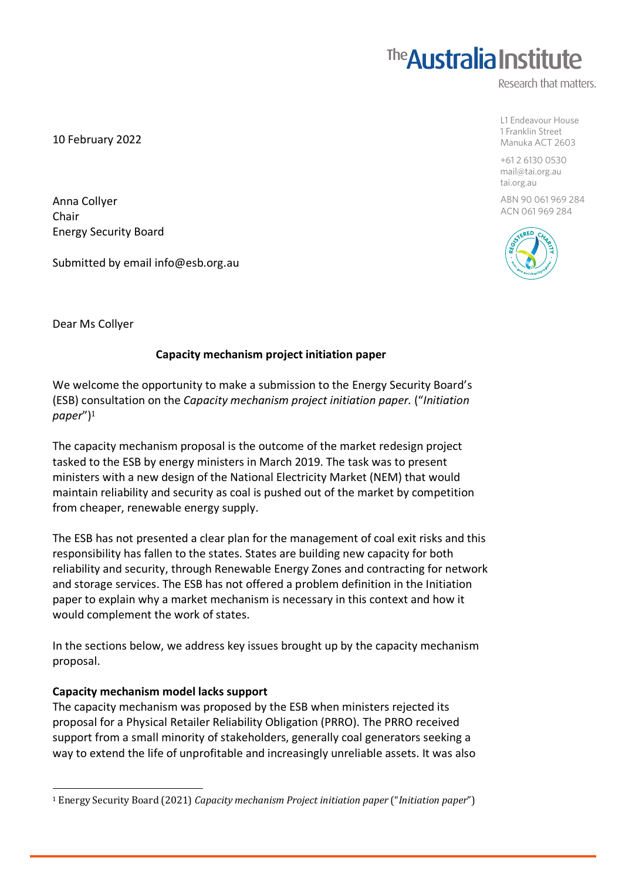## **The Australia Institute**

Research that matters.

L1 Endeavour House 1 Franklin Street Manuka ACT 2603

+61 2 6130 0530 mail@tai.org.au tai.org.au

ABN 90 061 969 284 ACN 061 969 284



10 February 2022

Anna Collyer Chair Energy Security Board

Submitted by email info@esb.org.au

Dear Ms Collyer

## **Capacity mechanism project initiation paper**

We welcome the opportunity to make a submission to the Energy Security Board's (ESB) consultation on the *Capacity mechanism project initiation paper.* ("*Initiation paper*")<sup>1</sup>

The capacity mechanism proposal is the outcome of the market redesign project tasked to the ESB by energy ministers in March 2019. The task was to present ministers with a new design of the National Electricity Market (NEM) that would maintain reliability and security as coal is pushed out of the market by competition from cheaper, renewable energy supply.

The ESB has not presented a clear plan for the management of coal exit risks and this responsibility has fallen to the states. States are building new capacity for both reliability and security, through Renewable Energy Zones and contracting for network and storage services. The ESB has not offered a problem definition in the Initiation paper to explain why a market mechanism is necessary in this context and how it would complement the work of states.

In the sections below, we address key issues brought up by the capacity mechanism proposal.

### **Capacity mechanism model lacks support**

 

The capacity mechanism was proposed by the ESB when ministers rejected its proposal for a Physical Retailer Reliability Obligation (PRRO). The PRRO received support from a small minority of stakeholders, generally coal generators seeking a way to extend the life of unprofitable and increasingly unreliable assets. It was also

<sup>&</sup>lt;sup>1</sup> Energy Security Board (2021) *Capacity mechanism Project initiation paper* ("*Initiation paper*")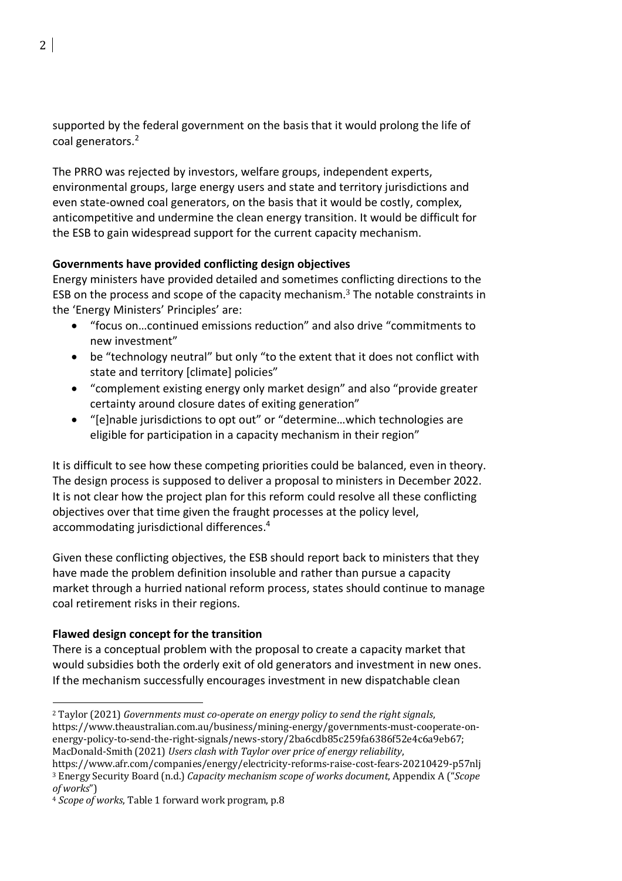supported by the federal government on the basis that it would prolong the life of coal generators.2

The PRRO was rejected by investors, welfare groups, independent experts, environmental groups, large energy users and state and territory jurisdictions and even state-owned coal generators, on the basis that it would be costly, complex, anticompetitive and undermine the clean energy transition. It would be difficult for the ESB to gain widespread support for the current capacity mechanism.

## **Governments have provided conflicting design objectives**

Energy ministers have provided detailed and sometimes conflicting directions to the ESB on the process and scope of the capacity mechanism.<sup>3</sup> The notable constraints in the 'Energy Ministers' Principles' are:

- "focus on…continued emissions reduction" and also drive "commitments to new investment"
- be "technology neutral" but only "to the extent that it does not conflict with state and territory [climate] policies"
- "complement existing energy only market design" and also "provide greater certainty around closure dates of exiting generation"
- "[e]nable jurisdictions to opt out" or "determine…which technologies are eligible for participation in a capacity mechanism in their region"

It is difficult to see how these competing priorities could be balanced, even in theory. The design process is supposed to deliver a proposal to ministers in December 2022. It is not clear how the project plan for this reform could resolve all these conflicting objectives over that time given the fraught processes at the policy level, accommodating jurisdictional differences. 4

Given these conflicting objectives, the ESB should report back to ministers that they have made the problem definition insoluble and rather than pursue a capacity market through a hurried national reform process, states should continue to manage coal retirement risks in their regions.

## **Flawed design concept for the transition**

There is a conceptual problem with the proposal to create a capacity market that would subsidies both the orderly exit of old generators and investment in new ones. If the mechanism successfully encourages investment in new dispatchable clean

 <sup>2</sup> Taylor (2021) Governments must co-operate on energy policy to send the right signals, https://www.theaustralian.com.au/business/mining-energy/governments-must-cooperate-onenergy-policy-to-send-the-right-signals/news-story/2ba6cdb85c259fa6386f52e4c6a9eb67; MacDonald-Smith (2021) Users clash with Taylor over price of energy reliability,

https://www.afr.com/companies/energy/electricity-reforms-raise-cost-fears-20210429-p57nlj <sup>3</sup> Energy Security Board (n.d.) *Capacity mechanism scope of works document*, Appendix A ("*Scope of works*")

<sup>&</sup>lt;sup>4</sup> Scope of works, Table 1 forward work program, p.8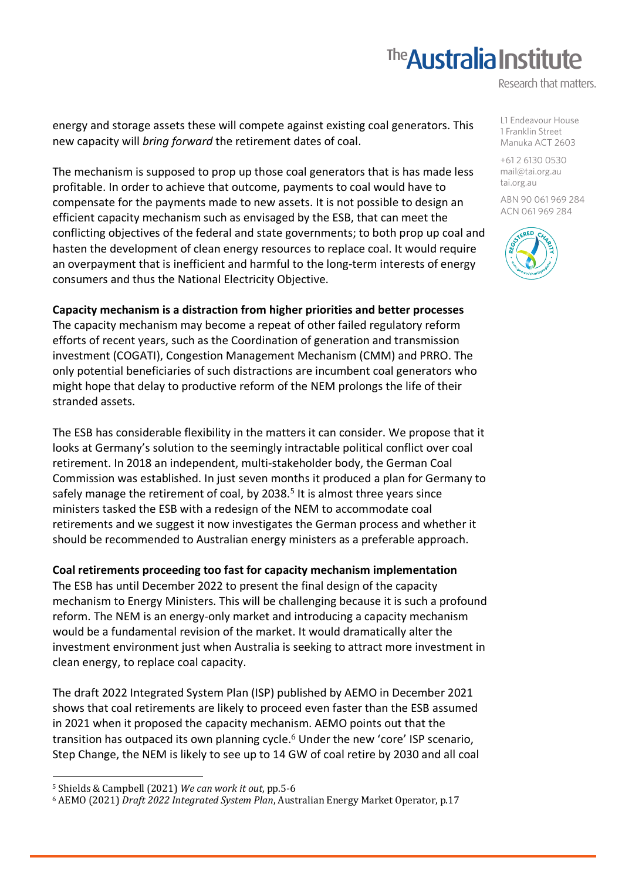# **The Australia Institute**

Research that matters.

energy and storage assets these will compete against existing coal generators. This new capacity will *bring forward* the retirement dates of coal.

The mechanism is supposed to prop up those coal generators that is has made less profitable. In order to achieve that outcome, payments to coal would have to compensate for the payments made to new assets. It is not possible to design an efficient capacity mechanism such as envisaged by the ESB, that can meet the conflicting objectives of the federal and state governments; to both prop up coal and hasten the development of clean energy resources to replace coal. It would require an overpayment that is inefficient and harmful to the long-term interests of energy consumers and thus the National Electricity Objective.

## **Capacity mechanism is a distraction from higher priorities and better processes**

The capacity mechanism may become a repeat of other failed regulatory reform efforts of recent years, such as the Coordination of generation and transmission investment (COGATI), Congestion Management Mechanism (CMM) and PRRO. The only potential beneficiaries of such distractions are incumbent coal generators who might hope that delay to productive reform of the NEM prolongs the life of their stranded assets.

The ESB has considerable flexibility in the matters it can consider. We propose that it looks at Germany's solution to the seemingly intractable political conflict over coal retirement. In 2018 an independent, multi-stakeholder body, the German Coal Commission was established. In just seven months it produced a plan for Germany to safely manage the retirement of coal, by  $2038<sup>5</sup>$  It is almost three years since ministers tasked the ESB with a redesign of the NEM to accommodate coal retirements and we suggest it now investigates the German process and whether it should be recommended to Australian energy ministers as a preferable approach.

### **Coal retirements proceeding too fast for capacity mechanism implementation**

The ESB has until December 2022 to present the final design of the capacity mechanism to Energy Ministers. This will be challenging because it is such a profound reform. The NEM is an energy-only market and introducing a capacity mechanism would be a fundamental revision of the market. It would dramatically alter the investment environment just when Australia is seeking to attract more investment in clean energy, to replace coal capacity.

The draft 2022 Integrated System Plan (ISP) published by AEMO in December 2021 shows that coal retirements are likely to proceed even faster than the ESB assumed in 2021 when it proposed the capacity mechanism. AEMO points out that the transition has outpaced its own planning cycle.<sup>6</sup> Under the new 'core' ISP scenario, Step Change, the NEM is likely to see up to 14 GW of coal retire by 2030 and all coal

 

L1 Endeavour House 1 Franklin Street Manuka ACT 2603

+61 2 6130 0530 mail@tai.org.au tai.org.au

ABN 90 061 969 284 ACN 061 969 284



<sup>5</sup> Shields & Campbell (2021) *We can work it out*, pp.5-6

<sup>&</sup>lt;sup>6</sup> AEMO (2021) *Draft 2022 Integrated System Plan*, Australian Energy Market Operator, p.17